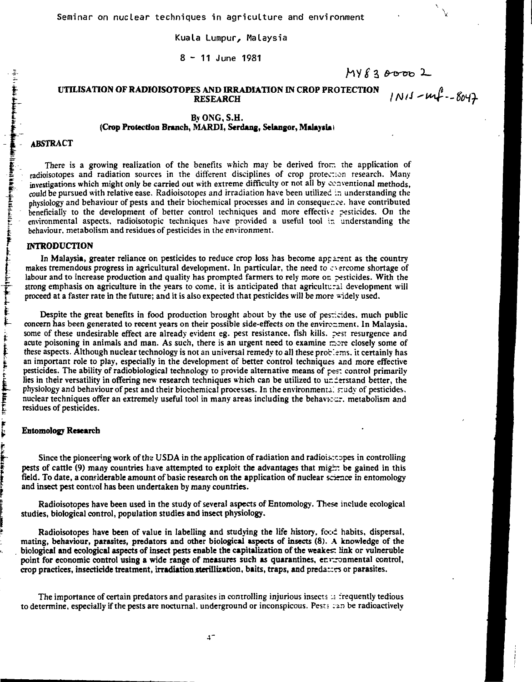**Kuala Lumpur, Malaysia**

**8-1 1 June 1981**

 $MY830002$  $1N11 - mf - 8047$ 

### **t** UTILISATION OF RADIOISOTOPES AND IRRADIATION IN CROP PROTECTION RESEARCH

# By ONG, S.H. (Crop Protection Branch, MARDI, Serdang, Selangor, Malaysia)

### *I* ABSTRACT

**f k**

į

 $\begin{array}{c}\n\uparrow \\
\uparrow \\
\uparrow\n\end{array}$ 

**The Little** 

There is a growing realization of the benefits which may be derived from the application of radioisotopes and radiation sources in the different disciplines of crop protection research. Many investigations which might only be carried out with extreme difficulty or not all by conventional methods, could be pursued with relative ease. Radioisotopes and irradiation have been utilized in understanding the physiology and behaviour of pests and their biochemical processes and in consequence. have contributed beneficially to the development of better control techniques and more effective pesticides. On the environmental aspects, radioisotopic techniques have provided a useful tool *\z* understanding the behaviour, metabolism and residues of pesticides in the environment.

#### INTRODUCTION

In Malaysia, greater reliance on pesticides to reduce crop loss has become apparent as the country makes tremendous progress in agricultural development. In particular, the need to c-ercome shortage of labour and to increase production and quality has prompted farmers to rely more on pesticides. With the strong emphasis on agriculture in the years to come, it is anticipated that agricultural development will proceed at a faster rate in the future; and it is also expected that pesticides will be more -idely used.

Despite the great benefits in food production brought about by the use of pesticides, much public concern has been generated to recent years on their possible side-effects on the environment. In Malaysia, some of these undesirable effect are already evident eg. pest resistance, fish kills, pest resurgence and acute poisoning in animals and man. As such, there is an urgent need to examine more closely some of these aspects. Although nuclear technology is not an universal remedy to all these proc'.ems. it certainly has an important role to play, especially in the development of better control techniques and more effective pesticides. The ability of radiobiological technology to provide alternative means of pest control primarily lies in their versatility in offering new research techniques which can be utilized to understand better, the physiology and behaviour of pest and their biochemical processes. In the environmental study of pesticides, nuclear techniques offer an extremely useful tool in many areas including the behaviccr. metabolism and residues of pesticides.

#### Entomology Research

Since the pioneering work of the USDA in the application of radiation and radioisotopes in controlling pests of cattle (9) many countries have attempted to exploit the advantages that migr: be gained in this field. To date, a considerable amount of basic research on the application of nuclear science in entomology and insect pest contvol has been undertaken by many countries.

Radioisotopes have been used in the study of several aspects of Entomology. These include ecological studies, biological control, population studies and insect physiology.

Radioisotopes have been of value in labelling and studying the life history, food habits, dispersal, mating, behaviour, parasites, predators and other biological aspects of insects (8). A knowledge of the biological and ecological aspects of insect pests enable the capitalization of the weakest link or vulnerable point for economic control using a wide range of measures such as quarantines, enrrommental control, crop practices, insecticide treatment, irradiation sterillization, baits, traps, and predattrs or parasites.

The importance of certain predators and parasites in controlling injurious insects as frequently tedious to determine, especially if the pests are nocturnal, underground or inconspicous. Pests :-in be radioactively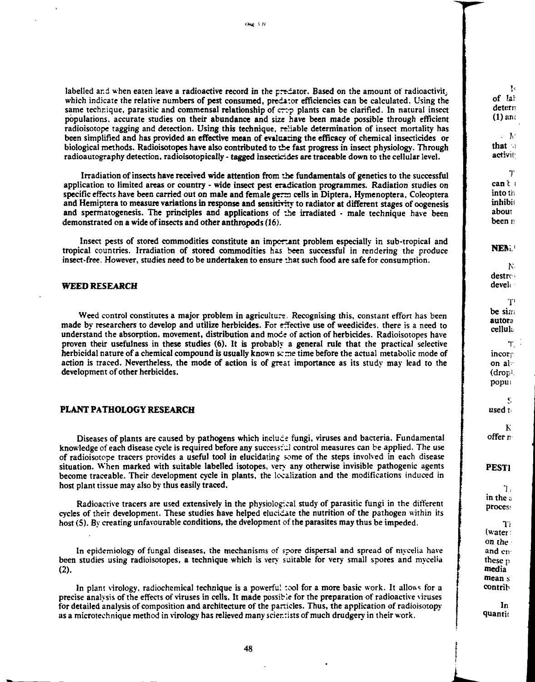labelled and when eaten leave a radioactive record in the preciator. Based on the amount of radioactivit, **which indicate the relative numbers of pest consumed, predi:or efficiencies can be calculated. Using the same technique, parasitic and commensal relationship of** *cryp* **plants can be clarified. In natural insect populations, accurate studies on their abundance and size have been made possible through efficient radioisotope tagging and detection. Using this technique, reliable determination of insect mortality has been simplified and has provided an effective mean of evaluating the efficacy of chemical insecticides or biological methods. Radioisotopes have also contributed to the fast progress in insect physiology. Through radioautography detection, radioisotopically - tagged insecticides are traceable down to the cellular level.**

**Irradiation of insects have received wide attention from the fundamentals of genetics to the successful application to limited areas or country - wide insect pest eradication programmes. Radiation studies on specific effects have been carried out on male and female gerra cells in Diptera, Hymenoptera, Coleoptera** and Hemiptera to measure variations in response and sensitivity to radiator at different stages of oogenesis **and spermatogenesis. The principles and applications of the irradiated - male technique have been demonstrated on a wide of insects and other anthropods (16).**

**Insect pests of stored commodities constitute an important problem especially in sub-tropical and tropical countries. Irradiation of stored commodities has been successful in rendering the produce insect-free. However, studies need to be undertaken to ensure -Jiat such food are safe for consumption.**

### **WEED RESEARCH**

**Weed control constitutes a major problem in agriculture. Recognising this, constant effort has been made by researchers to develop and utilize herbicides. For effective use of weedicides. there is a need to understand the absorption, movement, distribution and mode of action of herbicides. Radioisotopes have proven their usefulness in these studies (6). It is probably a general rule that the practical selective herbicidal nature of a chemical compound is usually known seme time before the actual metabolic mode of action is traced. Nevertheless, the mode of action is of great importance as its study may lead to the development of other herbicides.**

#### **PLANT PATHOLOGY RESEARCH**

**Diseases of plants are caused by pathogens which induce fungi, viruses and bacteria. Fundamental knowledge of each disease cycle is required before any successf.il control measures can be applied. The use of radioisotope tracers provides a useful tool in elucidating some of the steps involved in each disease situation. When marked with suitable labelled isotopes, very any otherwise invisible pathogenic agents become traceable. Their development cycle in plants, the localization and the modifications induced in host plant tissue may also by thus easily traced.**

**Radioactive tracers are used extensively in the physiological study of parasitic fungi in the different cycles of their development. These studies have helped elucidate the nutrition of the pathogen within its host (5). By creating unfavourable conditions, the dvelopment of the parasites may thus be impeded.**

**In epidemiology of fungal diseases, the mechanisms of spore dispersal and spread of mycelia have** been studies using radioisotopes, a technique which is very suitable for very small spores and mycelia **(2).**

In plant virology, radiochemical technique is a powerful :ool for a more basic work. It allows for a **precise analysis of the effects of viruses in cells. It made possible for the preparation of radioactive viruses for detailed analysis of composition and architecture of the panicles. Thus, the application of radioisotopy as a microtechnique method in virology has relieved many scier.rists of much drudgery in their work.**

 $\mathbf{I}$  . **of la! detern**  $(1)$  and

**. IV that i activii;**

**T cant i into tii inhibit about been** *v.*

**NERL'**

**K destrr' develi**

**T, be sirn autora celluk T.**

**incorp on at•• (drop<sup>1</sup> , popui**

K, **used t<**

**K offer n**

**PEST1**

**1: in the a** proces:

**Ti (water: on the and eiv these p media mean s contrib**

**In quantit**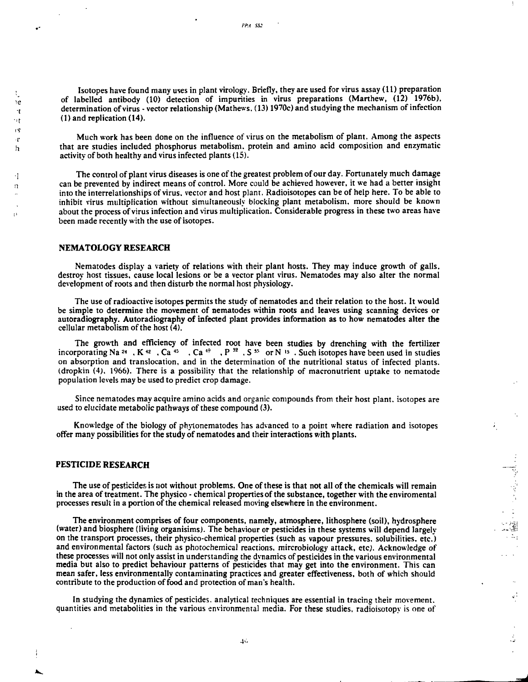Isotopes have found many uses in plant virology. Briefly, they are used for virus assay (11) preparation <sup>2</sup> of labelled antibody (10) detection of impurities in virus preparations (Marthew, (12) 1976b), determination of virus - vector relationship (Mathews. (13) 1970c) and studying the mechanism of infection (1) and replication (14).

> Much work has been done on the influence of virus on the metabolism of plant. Among the aspects that are studies included phosphorus metabolism, protein and amino acid composition and enzymatic activity of both healthy and virus infected plants (15).

I The control of plant virus diseases is one of the greatest problem of our day. Fortunately much damage <sup>n</sup> can be prevented by indirect means of control. More could be achieved however, it we had a better insight into the interrelationships of virus, vector and host plant. Radioisotopes can be of help here. To be able to inhibit virus multiplication without simultaneously blocking plant metabolism, more should be known about the process of virus infection and virus multiplication. Considerable progress in these two areas have been made recently with the use of isotopes.

#### **NEMATOLOGY RESEARCH**

Nematodes display a variety of relations with their plant hosts. They may induce growth of galls, destroy host tissues, cause local lesions or be a vector plant virus. Nematodes may also alter the normal development of roots and then disturb the normal host physiology.

The use of radioactive isotopes permits the study of nematodes and their relation to the host. It would be simple to determine the movement of nematodes within roots and leaves using scanning devices or autoradiography. Autoradiography of infected plant provides information as to how nematodes alter **the** cellular metabolism of the host (4).

The growth and efficiency of infected root have been studies by drenching with the fertilizer incorporating Na <sup>24</sup> , K<sup>42</sup> , Ca<sup>45</sup> , Ca<sup>49</sup> , P<sup>32</sup> , S<sup>35</sup> or N<sup>15</sup> . Such isotopes have been used in studie on absorption and translocation, and in the determination of the nutritional status of infected plants, (dropkin (4). 1966). There is a possibility that the relationship of macronutrient uptake to nematode population levels may be used to predict crop damage.

Since nematodes may acquire amino acids and organic compounds from their host plant, isotopes are used to elucidate metabolic pathways of these compound (3).

Knowledge of the biology of phytonematodes has advanced to a point where radiation and isotopes offer many possibilities for the study of nematodes and their interactions with plants.

ì,

Ĵ,

### **PESTICIDE RESEARCH**

The use of pesticides is not without problems. One of these is that not all of the chemicals will remain in the area of treatment. The physico - chemical properties of the substance, together with the enviromental processes result in a portion of the chemical released moving elsewhere in the environment.

The environment comprises of four components, namely, atmosphere, lithosphere (soil), hydrosphere (water) and biosphere (living organisims). The behaviour or pesticides in these systems will depend largely on the transport processes, their physico-chemical properties (such as vapour pressures, solubilities, etc.) and environmental factors (such as photochemical reactions, mircrobiology attack, etc). Acknowledge of these processes will not only assist in understanding the dynamics of pesticides in the various environmental media but also to predict behaviour patterns of pesticides that may get into the environment. This can mean safer, less environmentally contaminating practices and greater effectiveness, both of which should contribute to the production of food and protection of man's health.

In studying the dynamics of pesticides, analytical techniques are essential in tracing their movement, quantities and metabolities in the various environmental media. For these studies, radioisotopy is one of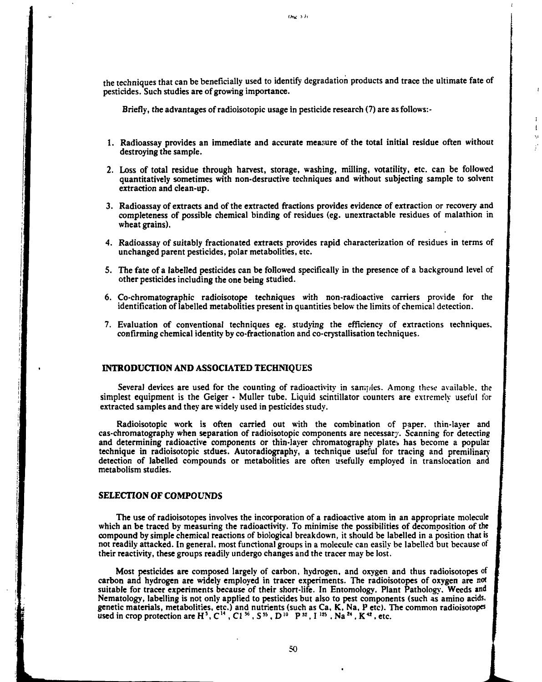the techniques that can be beneficially used to identify degradation products and trace the ultimate fate of pesticides. Such studies are of growing importance.

 $\mathbf{I}$ 

 $\mathbf{r}$  $\mathbf{I}$ Ŵ ý

 $Ome^{-\frac{1}{2}h}$ 

Briefly, the advantages of radioisotopic usage in pesticide research (7) are as follows: -

- 1. Radioassay provides an immediate and accurate measure of the total initial residue often without destroying the sample.
- 2. Loss of total residue through harvest, storage, washing, milling, votatility, etc. can be followed quantitatively sometimes with non-desructive techniques and without subjecting sample to solvent extraction and clean-up.
- 3. Radioassay of extracts and of the extracted fractions provides evidence of extraction or recovery and completeness of possible chemical binding of residues (eg. unextractable residues of malathion in wheat grains).
- 4. Radioassay of suitably fractionated extracts provides rapid characterization of residues in terms of unchanged parent pesticides, polar metabolities, etc.
- 5. The fate of a labelled pesticides can be followed specifically in the presence of a background level of other pesticides including the one being studied.
- 6. Co-chromatographic radioisotope techniques with non-radioactive carriers provide for the identification of labelled metabolities present in quantities below the limits of chemical detection.
- 7. Evaluation of conventional techniques eg. studying the efficiency of extractions techniques, confirming chemical identity by co-fractionation and co-crystallisation techniques.

### **INTRODUCTION AND ASSOCIATED TECHNIQUES**

Several devices are used for the counting of radioactivity in samples. Among these available, the simplest equipment is the Geiger - Muller tube. Liquid scintillator counters are extremely useful for extracted samples and they are widely used in pesticides study.

Radioisotopic work is often carried out with the combination of paper, thin-layer and cas-chromatography when separation of radioisotopic components are necessary. Scanning for detecting and determining radioactive components or thin-layer chromatography plates has become a popular technique in radioisotopic stdues. Autoradiography, a technique useful for tracing and premilinary detection of labelled compounds or metabolities are often usefully employed in translocation and metabolism studies.

### **SELECTION** OF COMPOUNDS

The use of radioisotopes involves the incorporation of a radioactive atom in an appropriate molecule which an be traced by measuring the radioactivity. To minimise the possibilities of decomposition of the compound by simple chemical reactions of biological breakdown, it should be labelled in a position that is not readily attacked. In general, most functional groups in a molecule can easily be labelled but because of their reactivity, these groups readily undergo changes and the tracer may be lost.

Most pesticides are composed largely of carbon, hydrogen, and oxygen and thus radioisotopes of carbon and hydrogen are widely employed in tracer experiments. The radioisotopes of oxygen are not suitable for tracer experiments because of their short-life. In Entomology, Plant Pathology. Weeds and Nematology, labelling is not only applied to pesticides but also to pest components (such as amino acids, genetic materials, metabolities, etc.) and nutrients (such as Ca, K, Na, P etc). The common radioisotopes<br>used in crop protection are H<sup>3</sup>, C<sup>14</sup>, Cl<sup>36</sup>, S<sup>35</sup>, D<sup>10</sup> P<sup>32</sup>, I<sup>125</sup>, Na<sup>24</sup>, K<sup>42</sup>, etc.